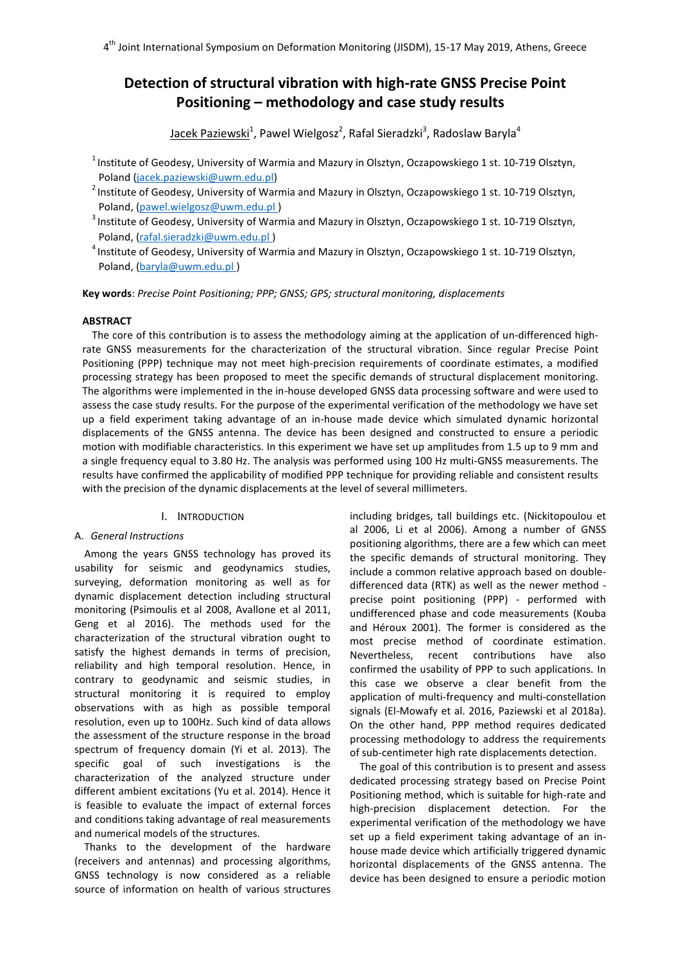4<sup>th</sup> Joint International Symposium on Deformation Monitoring (JISDM), 15-17 May 2019, Athens, Greece

# **Detection of structural vibration with high-rate GNSS Precise Point Positioning – methodology and case study results**

<u>Jacek Paziewski</u><sup>1</sup>, Pawel Wielgosz<sup>2</sup>, Rafal Sieradzki<sup>3</sup>, Radoslaw Baryla<sup>4</sup>

 $1$ Institute of Geodesy, University of Warmia and Mazury in Olsztyn, Oczapowskiego 1 st. 10-719 Olsztyn, Poland [\(jacek.paziewski@uwm.edu.pl\)](mailto:jacek.paziewski@uwm.edu.pl)

<sup>2</sup> Institute of Geodesy, University of Warmia and Mazury in Olsztyn, Oczapowskiego 1 st. 10-719 Olsztyn, Poland, [\(pawel.wielgosz@uwm.edu.pl \)](mailto:pawel.wielgosz@uwm.edu.pl)

<sup>3</sup> Institute of Geodesy, University of Warmia and Mazury in Olsztyn, Oczapowskiego 1 st. 10-719 Olsztyn, Poland, [\(rafal.sieradzki@uwm.edu.pl \)](mailto:rafal.sieradzki@uwm.edu.pl)

4 Institute of Geodesy, University of Warmia and Mazury in Olsztyn, Oczapowskiego 1 st. 10-719 Olsztyn, Poland, [\(baryla@uwm.edu.pl \)](mailto:baryla@uwm.edu.pl)

**Key words**: *Precise Point Positioning; PPP; GNSS; GPS; structural monitoring, displacements*

# **ABSTRACT**

The core of this contribution is to assess the methodology aiming at the application of un-differenced highrate GNSS measurements for the characterization of the structural vibration. Since regular Precise Point Positioning (PPP) technique may not meet high-precision requirements of coordinate estimates, a modified processing strategy has been proposed to meet the specific demands of structural displacement monitoring. The algorithms were implemented in the in-house developed GNSS data processing software and were used to assess the case study results. For the purpose of the experimental verification of the methodology we have set up a field experiment taking advantage of an in-house made device which simulated dynamic horizontal displacements of the GNSS antenna. The device has been designed and constructed to ensure a periodic motion with modifiable characteristics. In this experiment we have set up amplitudes from 1.5 up to 9 mm and a single frequency equal to 3.80 Hz. The analysis was performed using 100 Hz multi-GNSS measurements. The results have confirmed the applicability of modified PPP technique for providing reliable and consistent results with the precision of the dynamic displacements at the level of several millimeters.

# I. INTRODUCTION

# A. *General Instructions*

Among the years GNSS technology has proved its usability for seismic and geodynamics studies, surveying, deformation monitoring as well as for dynamic displacement detection including structural monitoring (Psimoulis et al 2008, Avallone et al 2011, Geng et al 2016). The methods used for the characterization of the structural vibration ought to satisfy the highest demands in terms of precision, reliability and high temporal resolution. Hence, in contrary to geodynamic and seismic studies, in structural monitoring it is required to employ observations with as high as possible temporal resolution, even up to 100Hz. Such kind of data allows the assessment of the structure response in the broad spectrum of frequency domain (Yi et al. 2013). The specific goal of such investigations is the characterization of the analyzed structure under different ambient excitations (Yu et al. 2014). Hence it is feasible to evaluate the impact of external forces and conditions taking advantage of real measurements and numerical models of the structures.

Thanks to the development of the hardware (receivers and antennas) and processing algorithms, GNSS technology is now considered as a reliable source of information on health of various structures

including bridges, tall buildings etc. (Nickitopoulou et al 2006, Li et al 2006). Among a number of GNSS positioning algorithms, there are a few which can meet the specific demands of structural monitoring. They include a common relative approach based on doubledifferenced data (RTK) as well as the newer method precise point positioning (PPP) - performed with undifferenced phase and code measurements (Kouba and Héroux 2001). The former is considered as the most precise method of coordinate estimation. Nevertheless, recent contributions have also confirmed the usability of PPP to such applications. In this case we observe a clear benefit from the application of multi-frequency and multi-constellation signals (El-Mowafy et al. 2016, Paziewski et al 2018a). On the other hand, PPP method requires dedicated processing methodology to address the requirements of sub-centimeter high rate displacements detection.

The goal of this contribution is to present and assess dedicated processing strategy based on Precise Point Positioning method, which is suitable for high-rate and high-precision displacement detection. For the experimental verification of the methodology we have set up a field experiment taking advantage of an inhouse made device which artificially triggered dynamic horizontal displacements of the GNSS antenna. The device has been designed to ensure a periodic motion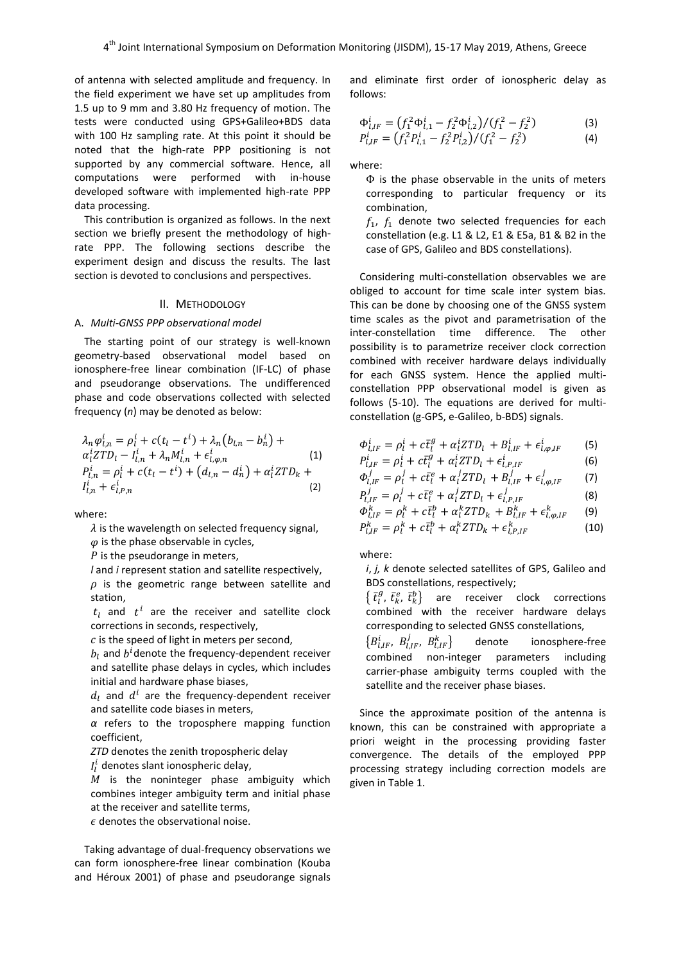of antenna with selected amplitude and frequency. In the field experiment we have set up amplitudes from 1.5 up to 9 mm and 3.80 Hz frequency of motion. The tests were conducted using GPS+Galileo+BDS data with 100 Hz sampling rate. At this point it should be noted that the high-rate PPP positioning is not supported by any commercial software. Hence, all computations were performed with in-house developed software with implemented high-rate PPP data processing.

This contribution is organized as follows. In the next section we briefly present the methodology of highrate PPP. The following sections describe the experiment design and discuss the results. The last section is devoted to conclusions and perspectives.

#### II. METHODOLOGY

#### A. *Multi-GNSS PPP observational model*

The starting point of our strategy is well-known geometry-based observational model based on ionosphere-free linear combination (IF-LC) of phase and pseudorange observations. The undifferenced phase and code observations collected with selected frequency (*n*) may be denoted as below:

$$
\lambda_n \varphi_{l,n}^i = \rho_l^i + c(t_l - t^i) + \lambda_n (b_{l,n} - b_n^i) +
$$
  
\n
$$
\alpha_l^i ZTD_l - I_{l,n}^i + \lambda_n M_{l,n}^i + \epsilon_{l,\varphi,n}^i \tag{1}
$$
  
\n
$$
P_{l,n}^i = \rho_l^i + c(t_l - t^i) + (d_{l,n} - d_n^i) + \alpha_l^i ZTD_k +
$$
  
\n
$$
I_{l,n}^i + \epsilon_{l,\varphi,n}^i \tag{2}
$$

where:

 $\lambda$  is the wavelength on selected frequency signal,

 $\varphi$  is the phase observable in cycles,

 $P$  is the pseudorange in meters,

*l* and *i* represent station and satellite respectively,

 $\rho$  is the geometric range between satellite and station,

 $t_l$  and  $t^i$  are the receiver and satellite clock corrections in seconds, respectively,

 $c$  is the speed of light in meters per second,

 $b_l$  and  $b^i$ denote the frequency-dependent receiver and satellite phase delays in cycles, which includes initial and hardware phase biases,

 $d_l$  and  $d^l$  are the frequency-dependent receiver and satellite code biases in meters,

*α* refers to the troposphere mapping function coefficient,

*ZTD* denotes the zenith tropospheric delay

 $I_{l}^{i}$  denotes slant ionospheric delay,

 $M$  is the noninteger phase ambiguity which combines integer ambiguity term and initial phase at the receiver and satellite terms,

 $\epsilon$  denotes the observational noise.

Taking advantage of dual-frequency observations we can form ionosphere-free linear combination (Kouba and Héroux 2001) of phase and pseudorange signals and eliminate first order of ionospheric delay as follows:

$$
\Phi_{l,IF}^{i} = (f_1^2 \Phi_{l,1}^{i} - f_2^2 \Phi_{l,2}^{i}) / (f_1^2 - f_2^2)
$$
\n(3)

$$
P_{l,IF}^i = (f_1^2 P_{l,1}^i - f_2^2 P_{l,2}^i) / (f_1^2 - f_2^2)
$$
 (4)

where:

Φ is the phase observable in the units of meters corresponding to particular frequency or its combination,

 $f_1$ ,  $f_1$  denote two selected frequencies for each constellation (e.g. L1 & L2, E1 & E5a, B1 & B2 in the case of GPS, Galileo and BDS constellations).

Considering multi-constellation observables we are obliged to account for time scale inter system bias. This can be done by choosing one of the GNSS system time scales as the pivot and parametrisation of the inter-constellation time difference. The other possibility is to parametrize receiver clock correction combined with receiver hardware delays individually for each GNSS system. Hence the applied multiconstellation PPP observational model is given as follows (5-10). The equations are derived for multiconstellation (g-GPS, e-Galileo, b-BDS) signals.

$$
\Phi_{l,IF}^i = \rho_l^i + c\bar{t}_l^g + \alpha_l^i ZTD_l + B_{l,IF}^i + \epsilon_{l,\varphi,IF}^i \tag{5}
$$

$$
P_{l,IF}^i = \rho_l^i + c\bar{t}_l^g + \alpha_l^i ZTD_l + \epsilon_{l,P,IF}^i \tag{6}
$$

$$
\Phi_{l,IF}^j = \rho_l^j + c\bar{t}_l^e + \alpha_l^j ZTD_l + B_{l,IF}^j + \epsilon_{l,\varphi,IF}^j \tag{7}
$$
\n
$$
P_l^j = \rho_l^j + c\bar{t}_l^e + \alpha_l^j ZTD_l + \epsilon_l^j \tag{8}
$$

$$
P_{l,IF}^j = \rho_l^j + c\bar{t}_l^e + \alpha_l^j ZTD_l + \epsilon_{l,P,IF}^j \tag{8}
$$

$$
\Phi_{l,IF}^k = \rho_l^k + c\bar{t}_l^b + \alpha_l^k ZTD_k + B_{l,IF}^k + \epsilon_{l,\varphi,IF}^k \qquad (9)
$$

$$
P_{l,IF}^k = \rho_l^k + c\bar{t}_l^b + \alpha_l^k ZTD_k + \epsilon_{l,P,IF}^k \tag{10}
$$

where:

*i*, *j, k* denote selected satellites of GPS, Galileo and BDS constellations, respectively;

 $\left\{\,\bar{t}_{l}^{g},\,\bar{t}_{k}^{e},\,\bar{t}_{k}^{b}\right\}$  are receiver clock corrections combined with the receiver hardware delays corresponding to selected GNSS constellations,

 $\{B_{l,IF}^{i}, B_{l,IF}^{j}, B_{l,IF}^{k}\}$ denote ionosphere-free combined non-integer parameters including carrier-phase ambiguity terms coupled with the satellite and the receiver phase biases.

Since the approximate position of the antenna is known, this can be constrained with appropriate a priori weight in the processing providing faster convergence. The details of the employed PPP processing strategy including correction models are given in Table 1.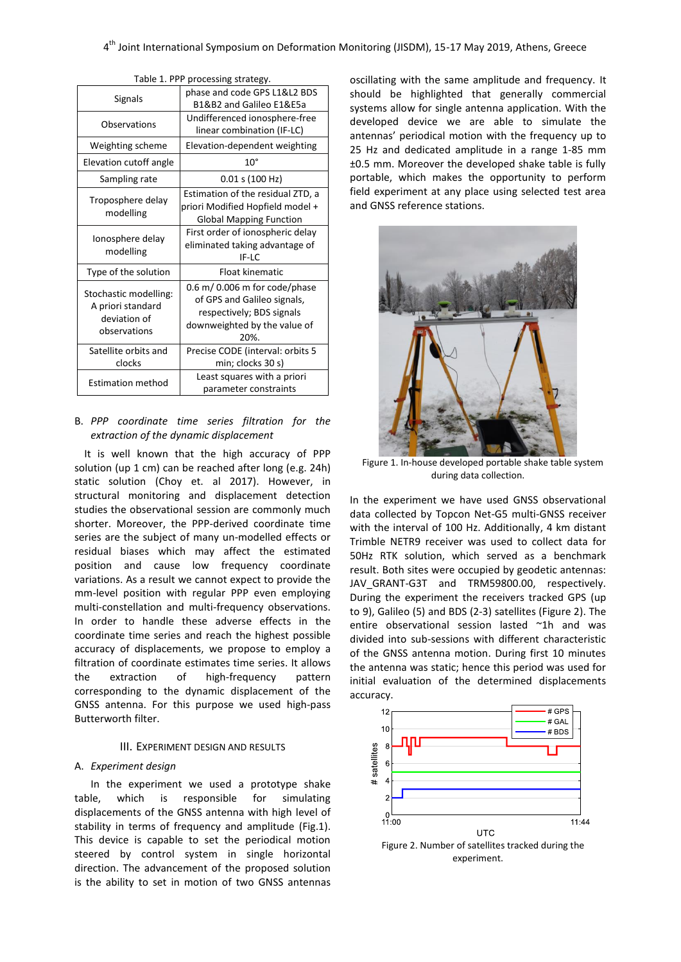| <b>Signals</b>                                                             | phase and code GPS L1&L2 BDS<br>B1&B2 and Galileo E1&E5a                                                                              |  |  |  |
|----------------------------------------------------------------------------|---------------------------------------------------------------------------------------------------------------------------------------|--|--|--|
| Observations                                                               | Undifferenced ionosphere-free<br>linear combination (IF-LC)                                                                           |  |  |  |
| Weighting scheme                                                           | Elevation-dependent weighting                                                                                                         |  |  |  |
| Elevation cutoff angle                                                     | $10^{\circ}$                                                                                                                          |  |  |  |
| Sampling rate                                                              | 0.01 s (100 Hz)                                                                                                                       |  |  |  |
| Troposphere delay<br>modelling                                             | Estimation of the residual ZTD, a<br>priori Modified Hopfield model +<br><b>Global Mapping Function</b>                               |  |  |  |
| Ionosphere delay<br>modelling                                              | First order of ionospheric delay<br>eliminated taking advantage of<br>IF-LC                                                           |  |  |  |
| Type of the solution                                                       | Float kinematic                                                                                                                       |  |  |  |
| Stochastic modelling:<br>A priori standard<br>deviation of<br>observations | $0.6$ m/ $0.006$ m for code/phase<br>of GPS and Galileo signals,<br>respectively; BDS signals<br>downweighted by the value of<br>20%. |  |  |  |
| Satellite orbits and<br>clocks                                             | Precise CODE (interval: orbits 5<br>min; clocks 30 s)                                                                                 |  |  |  |
| <b>Estimation method</b>                                                   | Least squares with a priori<br>parameter constraints                                                                                  |  |  |  |
|                                                                            |                                                                                                                                       |  |  |  |

|  |  | Table 1. PPP processing strategy. |  |
|--|--|-----------------------------------|--|
|  |  |                                   |  |

# B. *PPP coordinate time series filtration for the extraction of the dynamic displacement*

It is well known that the high accuracy of PPP solution (up 1 cm) can be reached after long (e.g. 24h) static solution (Choy et. al 2017). However, in structural monitoring and displacement detection studies the observational session are commonly much shorter. Moreover, the PPP-derived coordinate time series are the subject of many un-modelled effects or residual biases which may affect the estimated position and cause low frequency coordinate variations. As a result we cannot expect to provide the mm-level position with regular PPP even employing multi-constellation and multi-frequency observations. In order to handle these adverse effects in the coordinate time series and reach the highest possible accuracy of displacements, we propose to employ a filtration of coordinate estimates time series. It allows the extraction of high-frequency pattern corresponding to the dynamic displacement of the GNSS antenna. For this purpose we used high-pass Butterworth filter.

## III. EXPERIMENT DESIGN AND RESULTS

#### A. *Experiment design*

In the experiment we used a prototype shake table, which is responsible for simulating displacements of the GNSS antenna with high level of stability in terms of frequency and amplitude (Fig.1). This device is capable to set the periodical motion steered by control system in single horizontal direction. The advancement of the proposed solution is the ability to set in motion of two GNSS antennas

oscillating with the same amplitude and frequency. It should be highlighted that generally commercial systems allow for single antenna application. With the developed device we are able to simulate the antennas' periodical motion with the frequency up to 25 Hz and dedicated amplitude in a range 1-85 mm ±0.5 mm. Moreover the developed shake table is fully portable, which makes the opportunity to perform field experiment at any place using selected test area and GNSS reference stations.



Figure 1. In-house developed portable shake table system during data collection.

In the experiment we have used GNSS observational data collected by Topcon Net-G5 multi-GNSS receiver with the interval of 100 Hz. Additionally, 4 km distant Trimble NETR9 receiver was used to collect data for 50Hz RTK solution, which served as a benchmark result. Both sites were occupied by geodetic antennas: JAV GRANT-G3T and TRM59800.00, respectively. During the experiment the receivers tracked GPS (up to 9), Galileo (5) and BDS (2-3) satellites (Figure 2). The entire observational session lasted ~1h and was divided into sub-sessions with different characteristic of the GNSS antenna motion. During first 10 minutes the antenna was static; hence this period was used for initial evaluation of the determined displacements accuracy.



Figure 2. Number of satellites tracked during the experiment.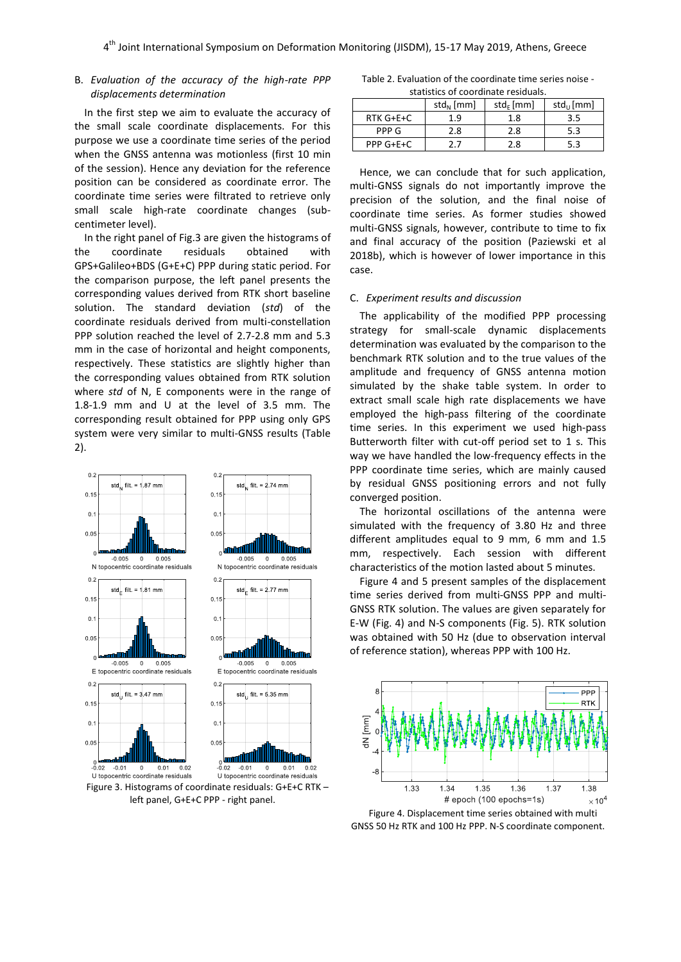## B. *Evaluation of the accuracy of the high-rate PPP displacements determination*

In the first step we aim to evaluate the accuracy of the small scale coordinate displacements. For this purpose we use a coordinate time series of the period when the GNSS antenna was motionless (first 10 min of the session). Hence any deviation for the reference position can be considered as coordinate error. The coordinate time series were filtrated to retrieve only small scale high-rate coordinate changes (subcentimeter level).

In the right panel of Fig.3 are given the histograms of the coordinate residuals obtained with GPS+Galileo+BDS (G+E+C) PPP during static period. For the comparison purpose, the left panel presents the corresponding values derived from RTK short baseline solution. The standard deviation (*std*) of the coordinate residuals derived from multi-constellation PPP solution reached the level of 2.7-2.8 mm and 5.3 mm in the case of horizontal and height components, respectively. These statistics are slightly higher than the corresponding values obtained from RTK solution where *std* of N, E components were in the range of 1.8-1.9 mm and U at the level of 3.5 mm. The corresponding result obtained for PPP using only GPS system were very similar to multi-GNSS results (Table 2).



left panel, G+E+C PPP - right panel.

Table 2. Evaluation of the coordinate time series noise statistics of coordinate residuals.

|                   | $std_{N}$ [mm]<br>$std_F$ [mm] |     | $std_{U}$ [mm] |  |  |  |
|-------------------|--------------------------------|-----|----------------|--|--|--|
| $RTK$ $G + E + C$ | 1.9                            |     | 3.5            |  |  |  |
| PPP G             | 2.8                            |     | 5.3            |  |  |  |
| $PPP G + E + C$   | 2.7                            | 2.8 | 5.3            |  |  |  |

Hence, we can conclude that for such application, multi-GNSS signals do not importantly improve the precision of the solution, and the final noise of coordinate time series. As former studies showed multi-GNSS signals, however, contribute to time to fix and final accuracy of the position (Paziewski et al 2018b), which is however of lower importance in this case.

## C. *Experiment results and discussion*

The applicability of the modified PPP processing strategy for small-scale dynamic displacements determination was evaluated by the comparison to the benchmark RTK solution and to the true values of the amplitude and frequency of GNSS antenna motion simulated by the shake table system. In order to extract small scale high rate displacements we have employed the high-pass filtering of the coordinate time series. In this experiment we used high-pass Butterworth filter with cut-off period set to 1 s. This way we have handled the low-frequency effects in the PPP coordinate time series, which are mainly caused by residual GNSS positioning errors and not fully converged position.

The horizontal oscillations of the antenna were simulated with the frequency of 3.80 Hz and three different amplitudes equal to 9 mm, 6 mm and 1.5 mm, respectively. Each session with different characteristics of the motion lasted about 5 minutes.

Figure 4 and 5 present samples of the displacement time series derived from multi-GNSS PPP and multi-GNSS RTK solution. The values are given separately for E-W (Fig. 4) and N-S components (Fig. 5). RTK solution was obtained with 50 Hz (due to observation interval of reference station), whereas PPP with 100 Hz.



Figure 4. Displacement time series obtained with multi GNSS 50 Hz RTK and 100 Hz PPP. N-S coordinate component.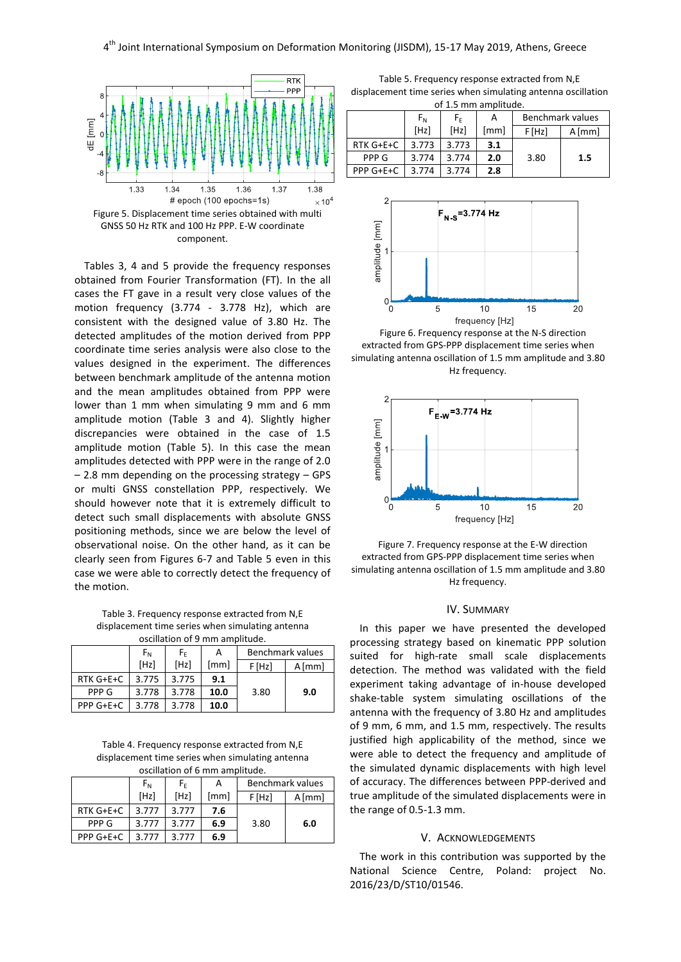

Tables 3, 4 and 5 provide the frequency responses obtained from Fourier Transformation (FT). In the all cases the FT gave in a result very close values of the motion frequency (3.774 - 3.778 Hz), which are consistent with the designed value of 3.80 Hz. The detected amplitudes of the motion derived from PPP coordinate time series analysis were also close to the values designed in the experiment. The differences between benchmark amplitude of the antenna motion and the mean amplitudes obtained from PPP were lower than 1 mm when simulating 9 mm and 6 mm amplitude motion (Table 3 and 4). Slightly higher discrepancies were obtained in the case of 1.5 amplitude motion (Table 5). In this case the mean amplitudes detected with PPP were in the range of 2.0 – 2.8 mm depending on the processing strategy – GPS or multi GNSS constellation PPP, respectively. We should however note that it is extremely difficult to detect such small displacements with absolute GNSS positioning methods, since we are below the level of observational noise. On the other hand, as it can be clearly seen from Figures 6-7 and Table 5 even in this case we were able to correctly detect the frequency of the motion.

Table 3. Frequency response extracted from N,E displacement time series when simulating antenna oscillation of 9 mm amplitude.

|                 | $F_{N}$ | F۴    | А    | Benchmark values |          |  |
|-----------------|---------|-------|------|------------------|----------|--|
|                 | [Hz]    | [Hz]  | [mm] | F[Hz]            | $A$ [mm] |  |
| RTK G+E+C       | 3.775   | 3.775 | 9.1  |                  |          |  |
| PPP G           | 3.778   | 3.778 | 10.0 | 3.80             | 9.0      |  |
| $PPP G + E + C$ | 3.778   | 3.778 | 10.0 |                  |          |  |

Table 4. Frequency response extracted from N,E displacement time series when simulating antenna oscillation of 6 mm amplitude.

|           | $F_{N}$ | $F_F$ | А    | Benchmark values |          |  |
|-----------|---------|-------|------|------------------|----------|--|
|           | [Hz]    | [Hz]  | [mm] | F[Hz]            | $A$ [mm] |  |
| RTK G+E+C | 3.777   | 3.777 | 7.6  |                  |          |  |
| PPP G     | 3.777   | 3.777 | 6.9  | 3.80             | 6.0      |  |
| PPP G+E+C | 3.777   | 3.777 | 6.9  |                  |          |  |

Table 5. Frequency response extracted from N,E displacement time series when simulating antenna oscillation of 1.5 mm amplitude.

|           | $F_{N}$ | $F_{\rm F}$ | А    | Benchmark values |          |  |  |
|-----------|---------|-------------|------|------------------|----------|--|--|
|           | [Hz]    | [Hz]        | [mm] | F[Hz]            | $A$ [mm] |  |  |
| RTK G+E+C | 3.773   | 3.773       | 3.1  |                  |          |  |  |
| PPP G     | 3.774   | 3.774       | 2.0  | 3.80             | 1.5      |  |  |
| PPP G+E+C | 3.774   | 3.774       | 2.8  |                  |          |  |  |



Figure 6. Frequency response at the N-S direction extracted from GPS-PPP displacement time series when simulating antenna oscillation of 1.5 mm amplitude and 3.80 Hz frequency.



Figure 7. Frequency response at the E-W direction extracted from GPS-PPP displacement time series when simulating antenna oscillation of 1.5 mm amplitude and 3.80 Hz frequency.

### IV. SUMMARY

In this paper we have presented the developed processing strategy based on kinematic PPP solution suited for high-rate small scale displacements detection. The method was validated with the field experiment taking advantage of in-house developed shake-table system simulating oscillations of the antenna with the frequency of 3.80 Hz and amplitudes of 9 mm, 6 mm, and 1.5 mm, respectively. The results justified high applicability of the method, since we were able to detect the frequency and amplitude of the simulated dynamic displacements with high level of accuracy. The differences between PPP-derived and true amplitude of the simulated displacements were in the range of 0.5-1.3 mm.

#### V. ACKNOWLEDGEMENTS

The work in this contribution was supported by the National Science Centre, Poland: project No. 2016/23/D/ST10/01546.